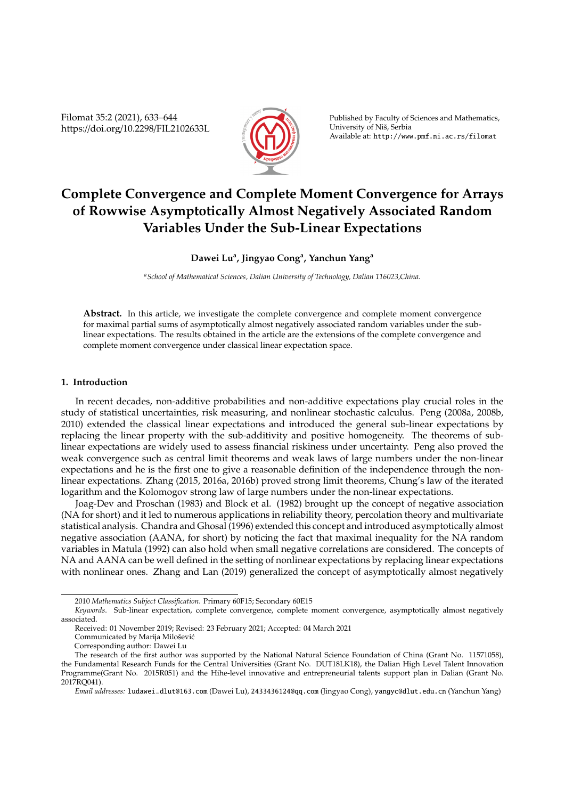Filomat 35:2 (2021), 633–644 https://doi.org/10.2298/FIL2102633L



Published by Faculty of Sciences and Mathematics, University of Niš, Serbia Available at: http://www.pmf.ni.ac.rs/filomat

# **Complete Convergence and Complete Moment Convergence for Arrays of Rowwise Asymptotically Almost Negatively Associated Random Variables Under the Sub-Linear Expectations**

## **Dawei Lu<sup>a</sup> , Jingyao Cong<sup>a</sup> , Yanchun Yang<sup>a</sup>**

*<sup>a</sup>School of Mathematical Sciences, Dalian University of Technology, Dalian 116023,China.*

Abstract. In this article, we investigate the complete convergence and complete moment convergence for maximal partial sums of asymptotically almost negatively associated random variables under the sublinear expectations. The results obtained in the article are the extensions of the complete convergence and complete moment convergence under classical linear expectation space.

## **1. Introduction**

In recent decades, non-additive probabilities and non-additive expectations play crucial roles in the study of statistical uncertainties, risk measuring, and nonlinear stochastic calculus. Peng (2008a, 2008b, 2010) extended the classical linear expectations and introduced the general sub-linear expectations by replacing the linear property with the sub-additivity and positive homogeneity. The theorems of sublinear expectations are widely used to assess financial riskiness under uncertainty. Peng also proved the weak convergence such as central limit theorems and weak laws of large numbers under the non-linear expectations and he is the first one to give a reasonable definition of the independence through the nonlinear expectations. Zhang (2015, 2016a, 2016b) proved strong limit theorems, Chung's law of the iterated logarithm and the Kolomogov strong law of large numbers under the non-linear expectations.

Joag-Dev and Proschan (1983) and Block et al. (1982) brought up the concept of negative association (NA for short) and it led to numerous applications in reliability theory, percolation theory and multivariate statistical analysis. Chandra and Ghosal (1996) extended this concept and introduced asymptotically almost negative association (AANA, for short) by noticing the fact that maximal inequality for the NA random variables in Matula (1992) can also hold when small negative correlations are considered. The concepts of NA and AANA can be well defined in the setting of nonlinear expectations by replacing linear expectations with nonlinear ones. Zhang and Lan (2019) generalized the concept of asymptotically almost negatively

<sup>2010</sup> *Mathematics Subject Classification*. Primary 60F15; Secondary 60E15

*Keywords*. Sub-linear expectation, complete convergence, complete moment convergence, asymptotically almost negatively associated.

Received: 01 November 2019; Revised: 23 February 2021; Accepted: 04 March 2021

Communicated by Marija Milošević

Corresponding author: Dawei Lu

The research of the first author was supported by the National Natural Science Foundation of China (Grant No. 11571058), the Fundamental Research Funds for the Central Universities (Grant No. DUT18LK18), the Dalian High Level Talent Innovation Programme(Grant No. 2015R051) and the Hihe-level innovative and entrepreneurial talents support plan in Dalian (Grant No. 2017RQ041).

*Email addresses:* ludawei−dlut@163.com (Dawei Lu), 2433436124@qq.com (Jingyao Cong), yangyc@dlut.edu.cn (Yanchun Yang)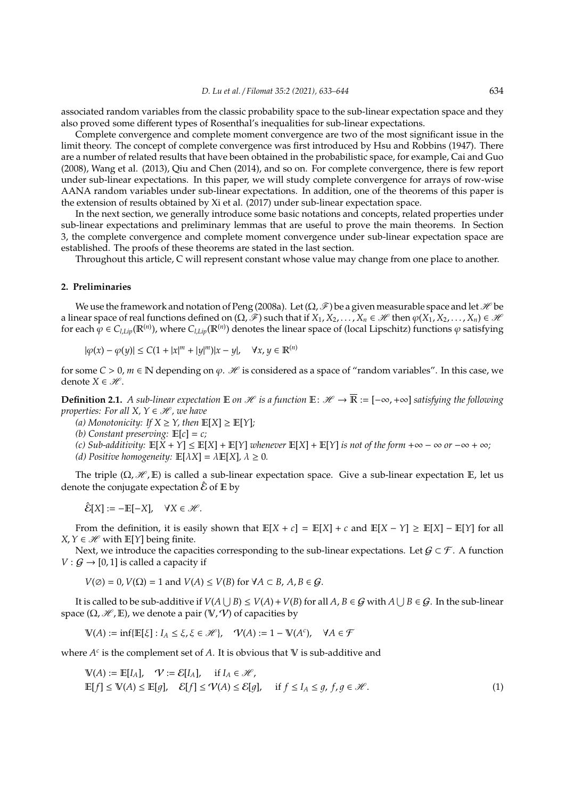associated random variables from the classic probability space to the sub-linear expectation space and they also proved some different types of Rosenthal's inequalities for sub-linear expectations.

Complete convergence and complete moment convergence are two of the most significant issue in the limit theory. The concept of complete convergence was first introduced by Hsu and Robbins (1947). There are a number of related results that have been obtained in the probabilistic space, for example, Cai and Guo (2008), Wang et al. (2013), Qiu and Chen (2014), and so on. For complete convergence, there is few report under sub-linear expectations. In this paper, we will study complete convergence for arrays of row-wise AANA random variables under sub-linear expectations. In addition, one of the theorems of this paper is the extension of results obtained by Xi et al. (2017) under sub-linear expectation space.

In the next section, we generally introduce some basic notations and concepts, related properties under sub-linear expectations and preliminary lemmas that are useful to prove the main theorems. In Section 3, the complete convergence and complete moment convergence under sub-linear expectation space are established. The proofs of these theorems are stated in the last section.

Throughout this article, C will represent constant whose value may change from one place to another.

## **2. Preliminaries**

We use the framework and notation of Peng (2008a). Let  $(\Omega, \mathscr{F})$  be a given measurable space and let  $\mathscr{H}$  be a linear space of real functions defined on  $(\Omega, \mathscr{F})$  such that if  $X_1, X_2, \ldots, X_n \in \mathscr{H}$  then  $\varphi(X_1, X_2, \ldots, X_n) \in \mathscr{H}$ for each  $\phi \in C_{l,Lip}(\mathbb{R}^{(n)})$ , where  $C_{l,Lip}(\mathbb{R}^{(n)})$  denotes the linear space of (local Lipschitz) functions  $\phi$  satisfying

$$
|\varphi(x) - \varphi(y)| \le C(1 + |x|^m + |y|^m)|x - y|, \quad \forall x, y \in \mathbb{R}^{(n)}
$$

for some  $C > 0$ ,  $m \in \mathbb{N}$  depending on  $\varphi$ . H is considered as a space of "random variables". In this case, we denote *X* ∈  $\mathcal{H}$ .

**Definition 2.1.** *A sub-linear expectation*  $\mathbb{E}$  *on*  $\mathcal{H}$  *is a function*  $\mathbb{E}: \mathcal{H} \to \overline{\mathbb{R}} := [-\infty, +\infty]$  *satisfying the following properties: For all X,*  $Y \in \mathcal{H}$ *, we have* 

- *(a) Monotonicity: If*  $X \geq Y$ *, then*  $\mathbb{E}[X] \geq \mathbb{E}[Y]$ *;*
- *(b) Constant preserving:* E[*c*] = *c;*
- *(c) Sub-additivity:* E[*X* + *Y*] ≤ E[*X*] + E[*Y*] *whenever* E[*X*] + E[*Y*] *is not of the form* +∞ − ∞ *or* −∞ + ∞*;*
- *(d)* Positive homogeneity:  $\mathbb{E}[\lambda X] = \lambda \mathbb{E}[X], \lambda \ge 0$ .

The triple  $(\Omega, \mathcal{H}, \mathbb{E})$  is called a sub-linear expectation space. Give a sub-linear expectation E, let us denote the conjugate expectation  $\hat{\mathcal{E}}$  of  $\mathbb E$  by

$$
\hat{\mathcal{E}}[X] := -\mathbb{E}[-X], \quad \forall X \in \mathcal{H}.
$$

From the definition, it is easily shown that  $\mathbb{E}[X + c] = \mathbb{E}[X] + c$  and  $\mathbb{E}[X - Y] \geq \mathbb{E}[X] - \mathbb{E}[Y]$  for all *X*, *Y* ∈  $H$  with  $E[Y]$  being finite.

Next, we introduce the capacities corresponding to the sub-linear expectations. Let  $G \subset \mathcal{F}$ . A function  $V : \mathcal{G} \to [0, 1]$  is called a capacity if

 $V(\emptyset) = 0$ ,  $V(\Omega) = 1$  and  $V(A) \le V(B)$  for  $\forall A \subset B$ ,  $A, B \in G$ .

It is called to be sub-additive if  $V(A \cup B) \le V(A) + V(B)$  for all  $A, B \in G$  with  $A \cup B \in G$ . In the sub-linear space  $(\Omega, \mathcal{H}, \mathbb{E})$ , we denote a pair  $(\mathbb{V}, \mathcal{V})$  of capacities by

$$
\mathbb{V}(A) := \inf \{ \mathbb{E}[\xi] : I_A \le \xi, \xi \in \mathcal{H} \}, \quad \mathcal{V}(A) := 1 - \mathbb{V}(A^c), \quad \forall A \in \mathcal{F}
$$

where  $A^c$  is the complement set of  $A$ . It is obvious that  $V$  is sub-additive and

$$
\mathbb{V}(A) := \mathbb{E}[I_A], \quad \mathcal{V} := \mathcal{E}[I_A], \quad \text{if } I_A \in \mathcal{H},
$$
  

$$
\mathbb{E}[f] \le \mathbb{V}(A) \le \mathbb{E}[g], \quad \mathcal{E}[f] \le \mathcal{V}(A) \le \mathcal{E}[g], \quad \text{if } f \le I_A \le g, f, g \in \mathcal{H}.
$$
 (1)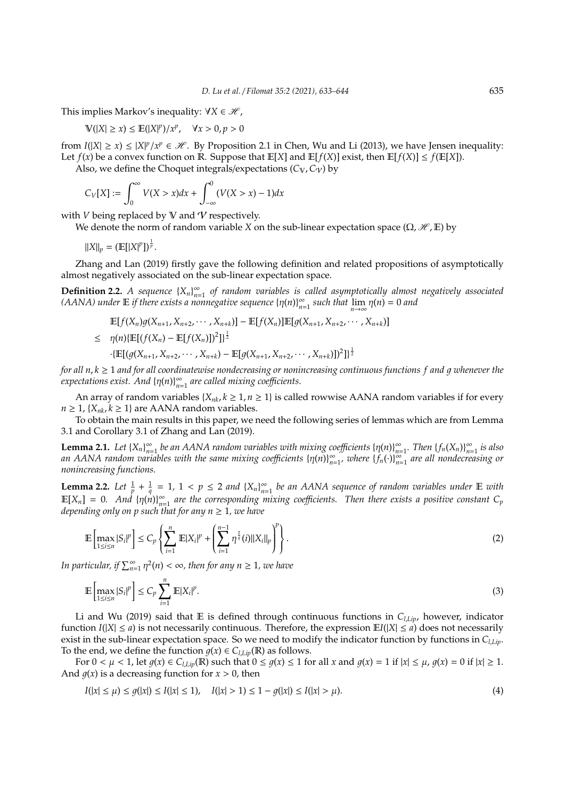This implies Markov's inequality:  $\forall X \in \mathcal{H}$ ,

$$
\mathbb{V}(|X| \ge x) \le \mathbb{E}(|X|^p)/x^p, \quad \forall x > 0, p > 0
$$

from  $I(|X| \ge x) \le |X|^p / x^p \in \mathcal{H}$ . By Proposition 2.1 in Chen, Wu and Li (2013), we have Jensen inequality: Let  $f(x)$  be a convex function on R. Suppose that  $E[X]$  and  $E[f(X)]$  exist, then  $E[f(X)] \leq f(E[X])$ .

Also, we define the Choquet integrals/expectations  $(C_V, C_V)$  by

$$
C_V[X] := \int_0^{\infty} V(X > x) dx + \int_{-\infty}^0 (V(X > x) - 1) dx
$$

with  $V$  being replaced by  $V$  and  $V$  respectively.

We denote the norm of random variable *X* on the sub-linear expectation space ( $\Omega$ ,  $\mathcal{H}$ , E) by

$$
||X||_p = (\mathbb{E}[|X|^p])^{\frac{1}{p}}.
$$

Zhang and Lan (2019) firstly gave the following definition and related propositions of asymptotically almost negatively associated on the sub-linear expectation space.

**Definition 2.2.** *A sequence*  ${X_n}_{n=1}^{\infty}$ *n*=1 *of random variables is called asymptotically almost negatively associated (AANA)* under **E** if there exists a nonnegative sequence  $\{\eta(n)\}_{n=1}^{\infty}$  $\sum_{n=1}^{\infty}$  such that  $\lim_{n\to\infty} \eta(n) = 0$  and

$$
\mathbb{E}[f(X_n)g(X_{n+1}, X_{n+2}, \cdots, X_{n+k})] - \mathbb{E}[f(X_n)]\mathbb{E}[g(X_{n+1}, X_{n+2}, \cdots, X_{n+k})]
$$
\n
$$
\leq \eta(n)\{\mathbb{E}[(f(X_n) - \mathbb{E}[f(X_n)])^2]\}^{\frac{1}{2}}
$$
\n
$$
\cdot \{\mathbb{E}[(g(X_{n+1}, X_{n+2}, \cdots, X_{n+k}) - \mathbb{E}[g(X_{n+1}, X_{n+2}, \cdots, X_{n+k})])^2]\}^{\frac{1}{2}}
$$

*for all*  $n, k \geq 1$  *and for all coordinatewise nondecreasing or nonincreasing continuous functions f and q whenever the*  $\alpha$ expectations exist. And  $\{\eta(n)\}_{n=1}^{\infty}$ *n*=1 *are called mixing coe*ffi*cients.*

An array of random variables  $\{X_{nk}, k \geq 1, n \geq 1\}$  is called rowwise AANA random variables if for every *n* ≥ 1, { $X_{nk}$ ,  $k$  ≥ 1} are AANA random variables.

To obtain the main results in this paper, we need the following series of lemmas which are from Lemma 3.1 and Corollary 3.1 of Zhang and Lan (2019).

**Lemma 2.1.** *Let*  ${X_n}_{n=1}^{\infty}$  $\sum_{n=1}^{\infty}$  *be an AANA random variables with mixing coefficients* {η(*n*)}<sub>*n*:</sub>  $\sum_{n=1}^{\infty}$ *. Then*  $\{f_n(X_n)\}_{n=1}^{\infty}$ *n*=1 *is also* an AANA random variables with the same mixing coefficients  $\{\eta(n)\}_{n=1}^{\infty}$  $\sum_{n=1}^{\infty}$  *where*  $\{f_n(\cdot)\}_{n=1}^{\infty}$ *n*=1 *are all nondecreasing or nonincreasing functions.*

**Lemma 2.2.** *Let*  $\frac{1}{p} + \frac{1}{q} = 1$ ,  $1 < p \le 2$  *and*  $\{X_n\}_{n=1}^{\infty}$ *n*=1 *be an AANA sequence of random variables under* E *with*  $\mathbb{E}[X_n] = 0$ . And  $\{\eta(n)\}_{n=0}^{\infty}$  $_{n=1}^{\infty}$  are the corresponding mixing coefficients. Then there exists a positive constant  $C_{p}$ *depending only on p such that for any*  $n \geq 1$ *, we have* 

$$
\mathbb{E}\left[\max_{1 \le i \le n} |S_i|^p\right] \le C_p \left\{ \sum_{i=1}^n \mathbb{E}|X_i|^p + \left(\sum_{i=1}^{n-1} \eta^{\frac{2}{q}}(i) \|X_i\|_p\right)^p \right\}.
$$
 (2)

*In particular, if*  $\sum_{n=1}^{\infty} \eta^2(n) < \infty$ , then for any  $n \ge 1$ , we have

$$
\mathbb{E}\left[\max_{1\leq i\leq n}|S_i|^p\right]\leq C_p\sum_{i=1}^n\mathbb{E}|X_i|^p.\tag{3}
$$

Li and Wu (2019) said that E is defined through continuous functions in *Cl*,*Lip*, however, indicator function  $I(|X| \le a)$  is not necessarily continuous. Therefore, the expression  $E[I|X] \le a$  does not necessarily exist in the sub-linear expectation space. So we need to modify the indicator function by functions in *Cl*,*Lip*. To the end, we define the function  $g(x) \in C_{l,Lip}(\mathbb{R})$  as follows.

For  $0 < \mu < 1$ , let  $g(x) \in C_{l,Lip}(\mathbb{R})$  such that  $0 \le g(x) \le 1$  for all x and  $g(x) = 1$  if  $|x| \le \mu$ ,  $g(x) = 0$  if  $|x| \ge 1$ . And  $q(x)$  is a decreasing function for  $x > 0$ , then

$$
I(|x| \le \mu) \le g(|x|) \le I(|x| \le 1), \quad I(|x| > 1) \le 1 - g(|x|) \le I(|x| > \mu). \tag{4}
$$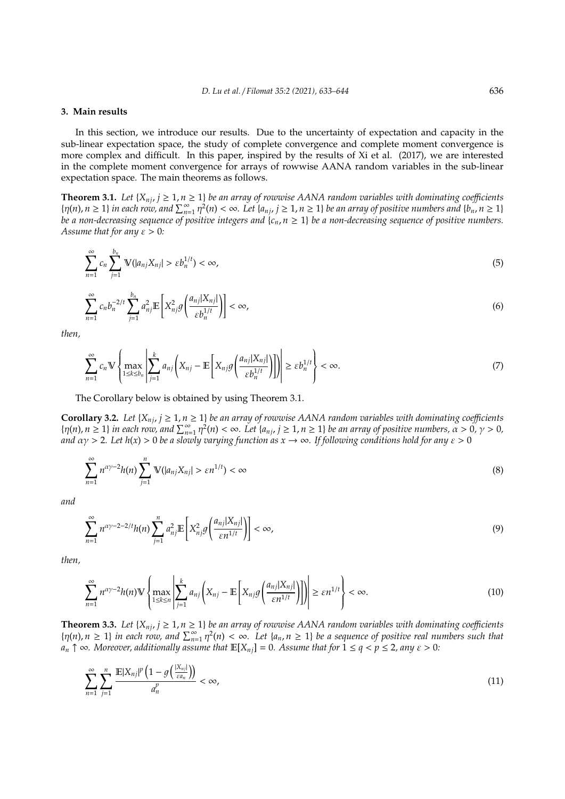#### **3. Main results**

In this section, we introduce our results. Due to the uncertainty of expectation and capacity in the sub-linear expectation space, the study of complete convergence and complete moment convergence is more complex and difficult. In this paper, inspired by the results of Xi et al. (2017), we are interested in the complete moment convergence for arrays of rowwise AANA random variables in the sub-linear expectation space. The main theorems as follows.

**Theorem 3.1.** *Let*  $\{X_{nj}, j \ge 1, n \ge 1\}$  *be an array of rowwise AANA random variables with dominating coefficients*  $\{\eta(n), n \geq 1\}$  in each row, and  $\sum_{n=1}^{\infty} \eta^2(n) < \infty$ . Let  $\{a_{nj}, j \geq 1, n \geq 1\}$  be an array of positive numbers and  $\{b_n, n \geq 1\}$ *be a non-decreasing sequence of positive integers and*  $\{c_n, n \geq 1\}$  *be a non-decreasing sequence of positive numbers. Assume that for any*  $\varepsilon > 0$ *:* 

$$
\sum_{n=1}^{\infty} c_n \sum_{j=1}^{b_n} \mathbb{V}(|a_{nj}X_{nj}| > \varepsilon b_n^{1/t}) < \infty,
$$
\n(5)

$$
\sum_{n=1}^{\infty} c_n b_n^{-2/t} \sum_{j=1}^{b_n} a_{nj}^2 \mathbb{E}\left[X_{nj}^2 \mathcal{G}\left(\frac{a_{nj}|X_{nj}|}{\varepsilon b_n^{1/t}}\right)\right] < \infty,\tag{6}
$$

*then,*

$$
\sum_{n=1}^{\infty} c_n \mathbb{V} \left\{ \max_{1 \le k \le b_n} \left| \sum_{j=1}^k a_{nj} \left( X_{nj} - \mathbb{E} \left[ X_{nj} g \left( \frac{a_{nj} | X_{nj}|}{\varepsilon b_n^{1/t}} \right) \right] \right) \right| \ge \varepsilon b_n^{1/t} \right\} < \infty.
$$
\n(7)

The Corollary below is obtained by using Theorem 3.1.

**Corollary 3.2.** *Let*  $\{X_{nj}, j \ge 1, n \ge 1\}$  *be an array of rowwise AANA random variables with dominating coefficients*  $\{n(n), n \geq 1\}$  in each row, and  $\sum_{n=1}^{\infty} n^2(n) < \infty$ . Let  $\{a_{nj}, j \geq 1, n \geq 1\}$  be an array of positive numbers,  $\alpha > 0, \gamma > 0$ , *and*  $\alpha$ *y* > 2*.* Let  $h(x)$  > 0 *be a slowly varying function as*  $x \to \infty$ *. If following conditions hold for any*  $\varepsilon$  > 0

$$
\sum_{n=1}^{\infty} n^{\alpha \gamma - 2} h(n) \sum_{j=1}^{n} \mathbb{V}(|a_{nj} X_{nj}| > \varepsilon n^{1/t}) < \infty
$$
\n(8)

*and*

$$
\sum_{n=1}^{\infty} n^{\alpha \gamma - 2 - 2/t} h(n) \sum_{j=1}^{n} a_{nj}^2 \mathbb{E} \left[ X_{nj}^2 g\left(\frac{a_{nj} |X_{nj}|}{\varepsilon n^{1/t}}\right) \right] < \infty,
$$
\n<sup>(9)</sup>

*then,*

$$
\sum_{n=1}^{\infty} n^{\alpha\gamma-2} h(n) \mathbb{V} \left\{ \max_{1 \le k \le n} \left| \sum_{j=1}^{k} a_{nj} \left( X_{nj} - \mathbb{E} \left[ X_{nj} g \left( \frac{a_{nj} | X_{nj}|}{\varepsilon n^{1/t}} \right) \right] \right) \right| \ge \varepsilon n^{1/t} \right\} < \infty.
$$
 (10)

**Theorem 3.3.** *Let* { $X_{nj}$ ,  $j \ge 1$ ,  $n \ge 1$ } *be an array of rowwise AANA random variables with dominating coefficients*  $\{\eta(n), n \geq 1\}$  in each row, and  $\sum_{n=1}^{\infty} \eta^2(n) < \infty$ . Let  $\{a_n, n \geq 1\}$  be a sequence of positive real numbers such that  $a_n \uparrow \infty$ *. Moreover, additionally assume that*  $\mathbb{E}[X_{ni}] = 0$ *. Assume that for*  $1 \leq q < p \leq 2$ *, any*  $\varepsilon > 0$ *:* 

$$
\sum_{n=1}^{\infty} \sum_{j=1}^{n} \frac{\mathbb{E}|X_{nj}|^p \left(1 - g\left(\frac{|X_{nj}|}{\varepsilon a_n}\right)\right)}{a_n^p} < \infty,\tag{11}
$$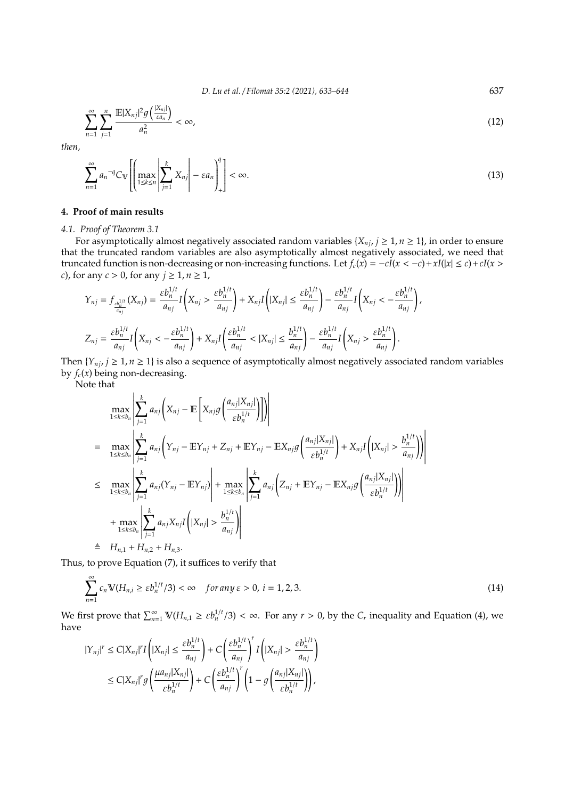*D. Lu et al.* / *Filomat 35:2 (2021), 633–644* 637

$$
\sum_{n=1}^{\infty} \sum_{j=1}^{n} \frac{\mathbb{E}|X_{nj}|^2 g\left(\frac{|X_{nj}|}{\varepsilon a_n}\right)}{a_n^2} < \infty,\tag{12}
$$

*then,*

$$
\sum_{n=1}^{\infty} a_n^{-q} C_{\mathbb{V}} \left[ \left( \max_{1 \le k \le n} \left| \sum_{j=1}^{k} X_{nj} \right| - \varepsilon a_n \right) \right] < \infty.
$$
\n(13)

## **4. Proof of main results**

#### *4.1. Proof of Theorem 3.1*

For asymptotically almost negatively associated random variables  $\{X_{ni}, j \geq 1, n \geq 1\}$ , in order to ensure that the truncated random variables are also asymptotically almost negatively associated, we need that truncated function is non-decreasing or non-increasing functions. Let  $f_c(x) = -cI(x < -c) + xI(|x| \le c) + cI(x > c)$ *c*), for any  $c > 0$ , for any  $j \ge 1, n \ge 1$ ,

$$
\begin{split} Y_{nj} &= f_{\frac{\varepsilon b_n^{1/t}}{a_{nj}}} (X_{nj}) = \frac{\varepsilon b_n^{1/t}}{a_{nj}} I\left(X_{nj} > \frac{\varepsilon b_n^{1/t}}{a_{nj}}\right) + X_{nj} I\left(|X_{nj}| \le \frac{\varepsilon b_n^{1/t}}{a_{nj}}\right) - \frac{\varepsilon b_n^{1/t}}{a_{nj}} I\left(X_{nj} < -\frac{\varepsilon b_n^{1/t}}{a_{nj}}\right), \\ Z_{nj} &= \frac{\varepsilon b_n^{1/t}}{a_{nj}} I\left(X_{nj} < -\frac{\varepsilon b_n^{1/t}}{a_{nj}}\right) + X_{nj} I\left(\frac{\varepsilon b_n^{1/t}}{a_{nj}} < |X_{nj}| \le \frac{b_n^{1/t}}{a_{nj}}\right) - \frac{\varepsilon b_n^{1/t}}{a_{nj}} I\left(X_{nj} > \frac{\varepsilon b_n^{1/t}}{a_{nj}}\right). \end{split}
$$

Then  $\{Y_{nj}, j \geq 1, n \geq 1\}$  is also a sequence of asymptotically almost negatively associated random variables by  $f_c(x)$  being non-decreasing.

Note that

$$
\max_{1 \leq k \leq b_n} \left| \sum_{j=1}^{k} a_{nj} \left( X_{nj} - \mathbb{E} \left[ X_{nj} g \left( \frac{a_{nj} | X_{nj}|}{\epsilon b_n^{1/t}} \right) \right] \right) \right|
$$
\n
$$
= \max_{1 \leq k \leq b_n} \left| \sum_{j=1}^{k} a_{nj} \left( Y_{nj} - \mathbb{E} Y_{nj} + Z_{nj} + \mathbb{E} Y_{nj} - \mathbb{E} X_{nj} g \left( \frac{a_{nj} | X_{nj}|}{\epsilon b_n^{1/t}} \right) + X_{nj} I \left( |X_{nj}| > \frac{b_n^{1/t}}{a_{nj}} \right) \right| \right|
$$
\n
$$
\leq \max_{1 \leq k \leq b_n} \left| \sum_{j=1}^{k} a_{nj} (Y_{nj} - \mathbb{E} Y_{nj}) \right| + \max_{1 \leq k \leq b_n} \left| \sum_{j=1}^{k} a_{nj} \left( Z_{nj} + \mathbb{E} Y_{nj} - \mathbb{E} X_{nj} g \left( \frac{a_{nj} | X_{nj}|}{\epsilon b_n^{1/t}} \right) \right) \right|
$$
\n
$$
+ \max_{1 \leq k \leq b_n} \left| \sum_{j=1}^{k} a_{nj} X_{nj} I \left( |X_{nj}| > \frac{b_n^{1/t}}{a_{nj}} \right) \right|
$$
\n
$$
\stackrel{\triangle}{=} H_{n,1} + H_{n,2} + H_{n,3}.
$$

Thus, to prove Equation (7), it suffices to verify that

$$
\sum_{n=1}^{\infty} c_n \mathbb{V}(H_{n,i} \ge \varepsilon b_n^{1/t}/3) < \infty \quad \text{for any } \varepsilon > 0, \ i = 1, 2, 3. \tag{14}
$$

We first prove that  $\sum_{n=1}^{\infty} \mathbb{V}(H_{n,1} \ge \varepsilon b_n^{1/t}/3) < \infty$ . For any  $r > 0$ , by the  $C_r$  inequality and Equation (4), we have

$$
\begin{aligned} |Y_{nj}|^r &\leq C|X_{nj}|^r I\left(|X_{nj}|\leq \frac{\varepsilon b_n^{1/t}}{a_{nj}}\right) + C\left(\frac{\varepsilon b_n^{1/t}}{a_{nj}}\right)^r I\left(|X_{nj}|>\frac{\varepsilon b_n^{1/t}}{a_{nj}}\right)\\ &\leq C|X_{nj}|^r g\left(\frac{\mu a_{nj}|X_{nj}|}{\varepsilon b_n^{1/t}}\right) + C\left(\frac{\varepsilon b_n^{1/t}}{a_{nj}}\right)^r \left(1-g\left(\frac{a_{nj}|X_{nj}|}{\varepsilon b_n^{1/t}}\right)\right), \end{aligned}
$$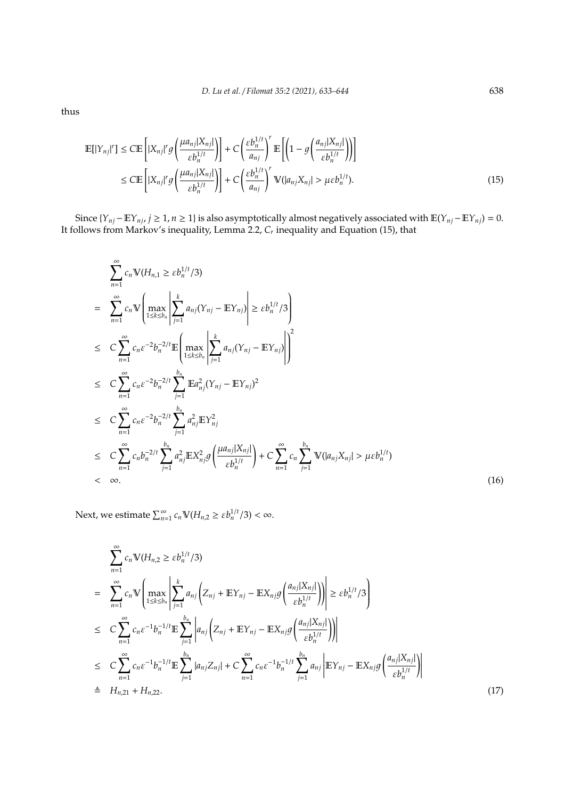thus

$$
\mathbb{E}[|Y_{nj}|^r] \le C \mathbb{E}\left[|X_{nj}|^r g\left(\frac{\mu a_{nj}|X_{nj}|}{\varepsilon b_n^{1/t}}\right)\right] + C \left(\frac{\varepsilon b_n^{1/t}}{a_{nj}}\right)^r \mathbb{E}\left[\left(1 - g\left(\frac{a_{nj}|X_{nj}|}{\varepsilon b_n^{1/t}}\right)\right)\right]
$$
  
\n
$$
\le C \mathbb{E}\left[|X_{nj}|^r g\left(\frac{\mu a_{nj}|X_{nj}|}{\varepsilon b_n^{1/t}}\right)\right] + C \left(\frac{\varepsilon b_n^{1/t}}{a_{nj}}\right)^r \mathbb{V}(|a_{nj}X_{nj}| > \mu \varepsilon b_n^{1/t}).
$$
\n(15)

Since {*Y*<sub>*nj*</sub>−E*Y*<sub>*nj*</sub>, *j* ≥ 1, *n* ≥ 1} is also asymptotically almost negatively associated with  $E(Y_{nj} - EY_{nj}) = 0$ . It follows from Markov's inequality, Lemma 2.2,  $C_r$  inequality and Equation (15), that

$$
\sum_{n=1}^{\infty} c_n \mathbb{V}(H_{n,1} \geq \varepsilon b_n^{1/t}/3)
$$
\n
$$
= \sum_{n=1}^{\infty} c_n \mathbb{V}\left(\max_{1 \leq k \leq b_n} \left| \sum_{j=1}^{k} a_{nj}(Y_{nj} - \mathbb{E}Y_{nj}) \right| \geq \varepsilon b_n^{1/t}/3 \right)
$$
\n
$$
\leq C \sum_{n=1}^{\infty} c_n \varepsilon^{-2} b_n^{-2/t} \mathbb{E}\left(\max_{1 \leq k \leq b_n} \left| \sum_{j=1}^{k} a_{nj}(Y_{nj} - \mathbb{E}Y_{nj}) \right|\right)^2
$$
\n
$$
\leq C \sum_{n=1}^{\infty} c_n \varepsilon^{-2} b_n^{-2/t} \sum_{j=1}^{b_n} \mathbb{E}a_{nj}^2 (Y_{nj} - \mathbb{E}Y_{nj})^2
$$
\n
$$
\leq C \sum_{n=1}^{\infty} c_n \varepsilon^{-2} b_n^{-2/t} \sum_{j=1}^{b_n} a_{nj}^2 \mathbb{E}Y_{nj}^2
$$
\n
$$
\leq C \sum_{n=1}^{\infty} c_n b_n^{-2/t} \sum_{j=1}^{b_n} a_{nj}^2 \mathbb{E}X_{nj}^2 g\left(\frac{\mu a_{nj} |X_{nj}|}{\varepsilon b_n^{1/t}}\right) + C \sum_{n=1}^{\infty} c_n \sum_{j=1}^{b_n} \mathbb{V}(|a_{nj} X_{nj}| > \mu \varepsilon b_n^{1/t})
$$
\n
$$
< \infty.
$$
\n(16)

Next, we estimate  $\sum_{n=1}^{\infty} c_n \mathbb{V}(H_{n,2} \geq \varepsilon b_n^{1/t}/3) < \infty$ .

$$
\sum_{n=1}^{\infty} c_n \mathbb{V}(H_{n,2} \ge \varepsilon b_n^{1/t}/3)
$$
\n
$$
= \sum_{n=1}^{\infty} c_n \mathbb{V}\left(\max_{1 \le k \le b_n} \left| \sum_{j=1}^k a_{nj} \left( Z_{nj} + \mathbb{E}Y_{nj} - \mathbb{E}X_{nj} g\left(\frac{a_{nj}|X_{nj}|}{\varepsilon b_n^{1/t}}\right) \right) \right| \ge \varepsilon b_n^{1/t}/3 \right)
$$
\n
$$
\le C \sum_{n=1}^{\infty} c_n \varepsilon^{-1} b_n^{-1/t} \mathbb{E} \sum_{j=1}^{b_n} \left| a_{nj} \left( Z_{nj} + \mathbb{E}Y_{nj} - \mathbb{E}X_{nj} g\left(\frac{a_{nj}|X_{nj}|}{\varepsilon b_n^{1/t}}\right) \right) \right|
$$
\n
$$
\le C \sum_{n=1}^{\infty} c_n \varepsilon^{-1} b_n^{-1/t} \mathbb{E} \sum_{j=1}^{b_n} |a_{nj} Z_{nj}| + C \sum_{n=1}^{\infty} c_n \varepsilon^{-1} b_n^{-1/t} \sum_{j=1}^{b_n} a_{nj} \left| \mathbb{E}Y_{nj} - \mathbb{E}X_{nj} g\left(\frac{a_{nj}|X_{nj}|}{\varepsilon b_n^{1/t}}\right) \right|
$$
\n
$$
\triangleq H_{n,21} + H_{n,22}.
$$
\n(17)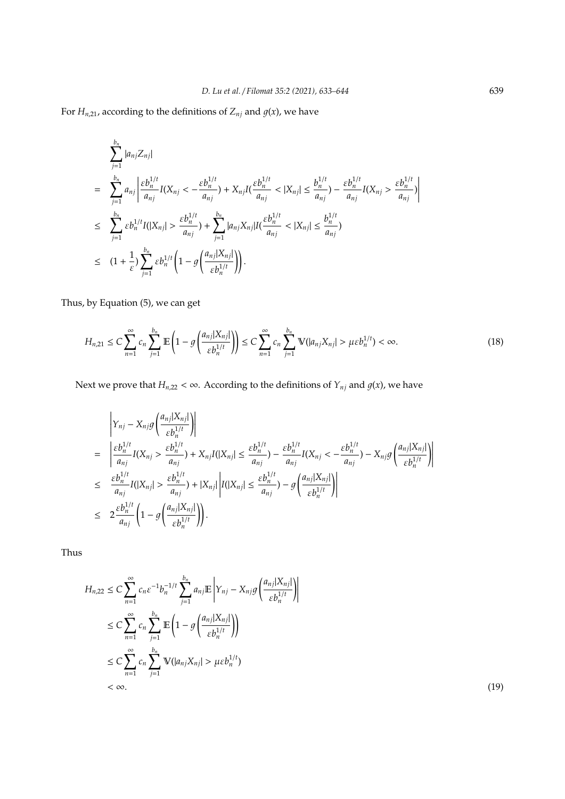For  $H_{n,21}$ , according to the definitions of  $Z_{nj}$  and  $g(x)$ , we have

$$
\sum_{j=1}^{b_n} |a_{nj} Z_{nj}|
$$
\n
$$
= \sum_{j=1}^{b_n} a_{nj} \left| \frac{\varepsilon b_n^{1/t}}{a_{nj}} I(X_{nj} < -\frac{\varepsilon b_n^{1/t}}{a_{nj}}) + X_{nj} I(\frac{\varepsilon b_n^{1/t}}{a_{nj}} < |X_{nj}| \le \frac{b_n^{1/t}}{a_{nj}}) - \frac{\varepsilon b_n^{1/t}}{a_{nj}} I(X_{nj} > \frac{\varepsilon b_n^{1/t}}{a_{nj}}) \right|
$$
\n
$$
\le \sum_{j=1}^{b_n} \varepsilon b_n^{1/t} I(|X_{nj}| > \frac{\varepsilon b_n^{1/t}}{a_{nj}}) + \sum_{j=1}^{b_n} |a_{nj} X_{nj}| I(\frac{\varepsilon b_n^{1/t}}{a_{nj}} < |X_{nj}| \le \frac{b_n^{1/t}}{a_{nj}})
$$
\n
$$
\le (1 + \frac{1}{\varepsilon}) \sum_{j=1}^{b_n} \varepsilon b_n^{1/t} \left(1 - g\left(\frac{a_{nj} |X_{nj}|}{\varepsilon b_n^{1/t}}\right)\right).
$$

Thus, by Equation (5), we can get

$$
H_{n,21} \leq C \sum_{n=1}^{\infty} c_n \sum_{j=1}^{b_n} \mathbb{E}\left(1 - g\left(\frac{a_{nj}|X_{nj}|}{\varepsilon b_n^{1/t}}\right)\right) \leq C \sum_{n=1}^{\infty} c_n \sum_{j=1}^{b_n} \mathbb{V}(|a_{nj}X_{nj}| > \mu \varepsilon b_n^{1/t}) < \infty.
$$
 (18)

Next we prove that  $H_{n,22} < \infty$ . According to the definitions of  $Y_{nj}$  and  $g(x)$ , we have

$$
\begin{split}\n&\left|Y_{nj} - X_{nj}g\left(\frac{a_{nj}|X_{nj}|}{\varepsilon b_n^{1/t}}\right)\right| \\
&= \left|\frac{\varepsilon b_n^{1/t}}{a_{nj}}I(X_{nj} > \frac{\varepsilon b_n^{1/t}}{a_{nj}}) + X_{nj}I(|X_{nj}| \le \frac{\varepsilon b_n^{1/t}}{a_{nj}}) - \frac{\varepsilon b_n^{1/t}}{a_{nj}}I(X_{nj} < -\frac{\varepsilon b_n^{1/t}}{a_{nj}}) - X_{nj}g\left(\frac{a_{nj}|X_{nj}|}{\varepsilon b_n^{1/t}}\right)\right| \\
&\le \frac{\varepsilon b_n^{1/t}}{a_{nj}}I(|X_{nj}| > \frac{\varepsilon b_n^{1/t}}{a_{nj}}) + |X_{nj}| \left|I(|X_{nj}| \le \frac{\varepsilon b_n^{1/t}}{a_{nj}}) - g\left(\frac{a_{nj}|X_{nj}|}{\varepsilon b_n^{1/t}}\right)\right| \\
&\le 2\frac{\varepsilon b_n^{1/t}}{a_{nj}} \left(1 - g\left(\frac{a_{nj}|X_{nj}|}{\varepsilon b_n^{1/t}}\right)\right).\n\end{split}
$$

Thus

$$
H_{n,22} \leq C \sum_{n=1}^{\infty} c_n \varepsilon^{-1} b_n^{-1/t} \sum_{j=1}^{b_n} a_{nj} \mathbb{E} \left| Y_{nj} - X_{nj} g \left( \frac{a_{nj} |X_{nj}|}{\varepsilon b_n^{1/t}} \right) \right|
$$
  
\n
$$
\leq C \sum_{n=1}^{\infty} c_n \sum_{j=1}^{b_n} \mathbb{E} \left( 1 - g \left( \frac{a_{nj} |X_{nj}|}{\varepsilon b_n^{1/t}} \right) \right)
$$
  
\n
$$
\leq C \sum_{n=1}^{\infty} c_n \sum_{j=1}^{b_n} \mathbb{V}(|a_{nj} X_{nj}| > \mu \varepsilon b_n^{1/t})
$$
  
\n
$$
< \infty.
$$
 (19)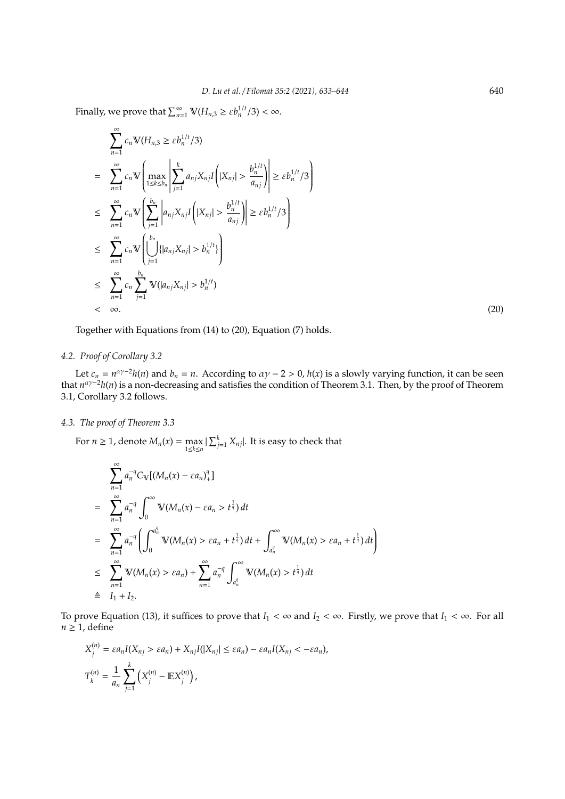Finally, we prove that  $\sum_{n=1}^{\infty} \mathbb{V}(H_{n,3} \geq \varepsilon b_n^{1/t}/3) < \infty$ .

$$
\sum_{n=1}^{\infty} c_n \mathbb{V}(H_{n,3} \geq \varepsilon b_n^{1/t}/3)
$$
\n
$$
= \sum_{n=1}^{\infty} c_n \mathbb{V}\left(\max_{1 \leq k \leq b_n} \left| \sum_{j=1}^k a_{nj} X_{nj} I\left(|X_{nj}| > \frac{b_n^{1/t}}{a_{nj}}\right) \right| \geq \varepsilon b_n^{1/t}/3 \right)
$$
\n
$$
\leq \sum_{n=1}^{\infty} c_n \mathbb{V}\left(\sum_{j=1}^{b_n} \left| a_{nj} X_{nj} I\left(|X_{nj}| > \frac{b_n^{1/t}}{a_{nj}}\right| \right) \geq \varepsilon b_n^{1/t}/3 \right)
$$
\n
$$
\leq \sum_{n=1}^{\infty} c_n \mathbb{V}\left(\bigcup_{j=1}^{b_n} \left\{|a_{nj} X_{nj}| > b_n^{1/t}\right\}\right)
$$
\n
$$
\leq \sum_{n=1}^{\infty} c_n \sum_{j=1}^{b_n} \mathbb{V}(|a_{nj} X_{nj}| > b_n^{1/t})
$$
\n
$$
< \infty.
$$
\n(20)

Together with Equations from (14) to (20), Equation (7) holds.

## *4.2. Proof of Corollary 3.2*

Let  $c_n = n^{\alpha \gamma - 2}h(n)$  and  $b_n = n$ . According to  $\alpha \gamma - 2 > 0$ ,  $h(x)$  is a slowly varying function, it can be seen that *n* αγ−2*h*(*n*) is a non-decreasing and satisfies the condition of Theorem 3.1. Then, by the proof of Theorem 3.1, Corollary 3.2 follows.

## *4.3. The proof of Theorem 3.3*

For  $n \geq 1$ , denote  $M_n(x) = \max_{1 \leq k \leq n}$  $|\sum_{j=1}^{k} X_{nj}|$ . It is easy to check that

$$
\sum_{n=1}^{\infty} a_n^{-q} C_{\mathbb{V}}[(M_n(x) - \varepsilon a_n)^{q}]
$$
\n
$$
= \sum_{n=1}^{\infty} a_n^{-q} \int_0^{\infty} \mathbb{V}(M_n(x) - \varepsilon a_n > t^{\frac{1}{q}}) dt
$$
\n
$$
= \sum_{n=1}^{\infty} a_n^{-q} \left( \int_0^{a_n^q} \mathbb{V}(M_n(x) > \varepsilon a_n + t^{\frac{1}{q}}) dt + \int_{a_n^q}^{\infty} \mathbb{V}(M_n(x) > \varepsilon a_n + t^{\frac{1}{q}}) dt \right)
$$
\n
$$
\leq \sum_{n=1}^{\infty} \mathbb{V}(M_n(x) > \varepsilon a_n) + \sum_{n=1}^{\infty} a_n^{-q} \int_{a_n^q}^{\infty} \mathbb{V}(M_n(x) > t^{\frac{1}{q}}) dt
$$
\n
$$
\stackrel{\triangle}{=} I_1 + I_2.
$$

To prove Equation (13), it suffices to prove that  $I_1 < \infty$  and  $I_2 < \infty$ . Firstly, we prove that  $I_1 < \infty$ . For all  $n \geq 1$ , define

$$
X_j^{(n)} = \varepsilon a_n I(X_{nj} > \varepsilon a_n) + X_{nj} I(|X_{nj}| \le \varepsilon a_n) - \varepsilon a_n I(X_{nj} < -\varepsilon a_n),
$$
  

$$
T_k^{(n)} = \frac{1}{a_n} \sum_{j=1}^k \left( X_j^{(n)} - \mathbb{E} X_j^{(n)} \right),
$$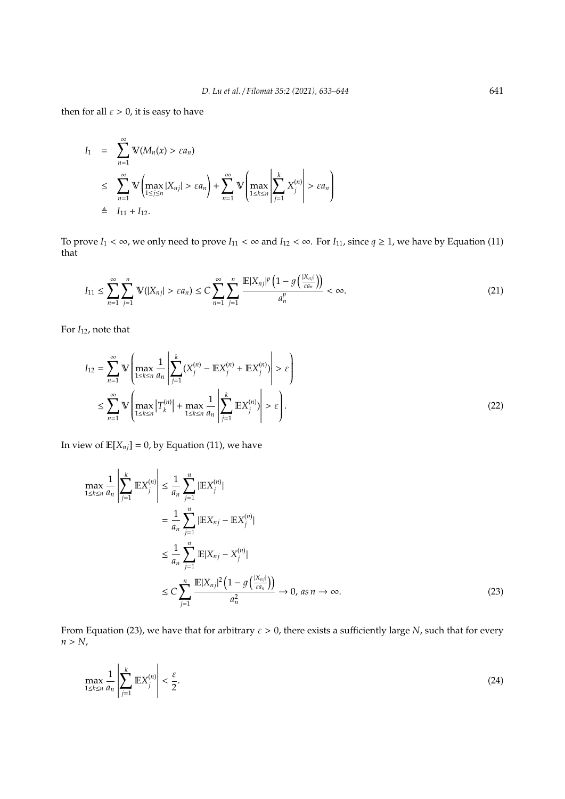then for all  $\varepsilon > 0$ , it is easy to have

$$
I_1 = \sum_{n=1}^{\infty} \mathbb{V}(M_n(x) > \varepsilon a_n)
$$
  
\n
$$
\leq \sum_{n=1}^{\infty} \mathbb{V}\left(\max_{1 \leq j \leq n} |X_{nj}| > \varepsilon a_n\right) + \sum_{n=1}^{\infty} \mathbb{V}\left(\max_{1 \leq k \leq n} \left|\sum_{j=1}^{k} X_j^{(n)}\right| > \varepsilon a_n\right)
$$
  
\n
$$
\triangleq I_{11} + I_{12}.
$$

To prove  $I_1 < \infty$ , we only need to prove  $I_{11} < \infty$  and  $I_{12} < \infty$ . For  $I_{11}$ , since  $q \ge 1$ , we have by Equation (11) that

$$
I_{11} \leq \sum_{n=1}^{\infty} \sum_{j=1}^{n} \mathbb{V}(|X_{nj}| > \varepsilon a_n) \leq C \sum_{n=1}^{\infty} \sum_{j=1}^{n} \frac{\mathbb{E}|X_{nj}|^p \left(1 - g\left(\frac{|X_{nj}|}{\varepsilon a_n}\right)\right)}{a_n^p} < \infty.
$$
 (21)

For  $I_{12}$ , note that

$$
I_{12} = \sum_{n=1}^{\infty} \mathbb{V}\left(\max_{1 \le k \le n} \frac{1}{a_n} \left| \sum_{j=1}^{k} (X_j^{(n)} - \mathbb{E}X_j^{(n)} + \mathbb{E}X_j^{(n)}) \right| > \varepsilon \right)
$$
  

$$
\le \sum_{n=1}^{\infty} \mathbb{V}\left(\max_{1 \le k \le n} |T_k^{(n)}| + \max_{1 \le k \le n} \frac{1}{a_n} \left| \sum_{j=1}^{k} \mathbb{E}X_j^{(n)} \right| > \varepsilon \right).
$$
 (22)

In view of  $\mathbb{E}[X_{nj}] = 0$ , by Equation (11), we have

$$
\max_{1 \le k \le n} \frac{1}{a_n} \left| \sum_{j=1}^k \mathbb{E} X_j^{(n)} \right| \le \frac{1}{a_n} \sum_{j=1}^n |\mathbb{E} X_{nj}^{(n)}|
$$
\n
$$
= \frac{1}{a_n} \sum_{j=1}^n |\mathbb{E} X_{nj} - \mathbb{E} X_j^{(n)}|
$$
\n
$$
\le \frac{1}{a_n} \sum_{j=1}^n \mathbb{E} |X_{nj} - X_j^{(n)}|
$$
\n
$$
\le C \sum_{j=1}^n \frac{\mathbb{E} |X_{nj}|^2 \left(1 - g\left(\frac{|X_{nj}|}{\epsilon a_n}\right)\right)}{a_n^2} \to 0, \text{ as } n \to \infty.
$$
\n(23)

From Equation (23), we have that for arbitrary  $\varepsilon > 0$ , there exists a sufficiently large *N*, such that for every  $n > N$ ,

$$
\max_{1 \le k \le n} \frac{1}{a_n} \left| \sum_{j=1}^k \mathbb{E} X_j^{(n)} \right| < \frac{\varepsilon}{2}.\tag{24}
$$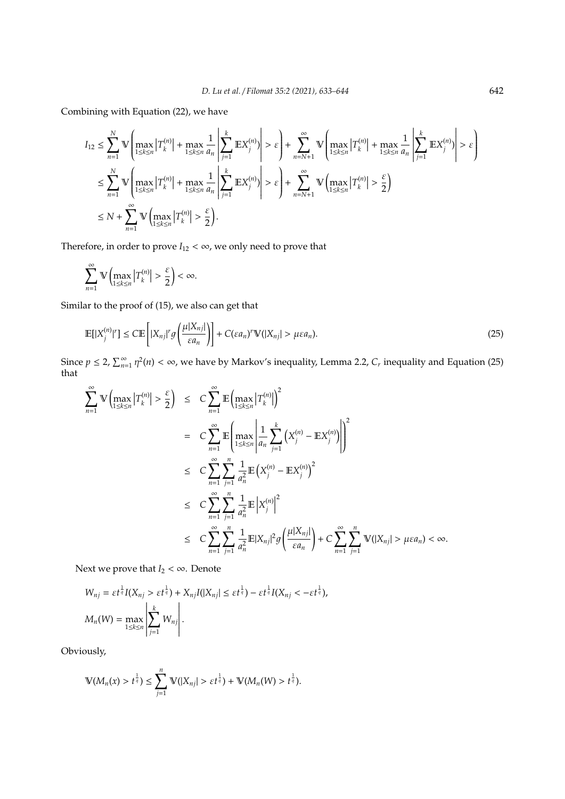Combining with Equation (22), we have

$$
\begin{split} I_{12} &\leq \sum_{n=1}^{N}\mathbb{V}\left(\max_{1\leq k\leq n}\left|T_{k}^{(n)}\right|+\max_{1\leq k\leq n}\frac{1}{a_{n}}\left|\sum_{j=1}^{k}\mathbb{E}X_{j}^{(n)}\right|\right) > \varepsilon\right)+\sum_{n=N+1}^{\infty}\mathbb{V}\left(\max_{1\leq k\leq n}\left|T_{k}^{(n)}\right|+\max_{1\leq k\leq n}\frac{1}{a_{n}}\left|\sum_{j=1}^{k}\mathbb{E}X_{j}^{(n)}\right| > \varepsilon\right)\\ &\leq \sum_{n=1}^{N}\mathbb{V}\left(\max_{1\leq k\leq n}\left|T_{k}^{(n)}\right|+\max_{1\leq k\leq n}\frac{1}{a_{n}}\left|\sum_{j=1}^{k}\mathbb{E}X_{j}^{(n)}\right| > \varepsilon\right)+\sum_{n=N+1}^{\infty}\mathbb{V}\left(\max_{1\leq k\leq n}\left|T_{k}^{(n)}\right| > \frac{\varepsilon}{2}\right)\\ &\leq N+\sum_{n=1}^{\infty}\mathbb{V}\left(\max_{1\leq k\leq n}\left|T_{k}^{(n)}\right| > \frac{\varepsilon}{2}\right). \end{split}
$$

Therefore, in order to prove  $I_{12} < \infty$ , we only need to prove that

$$
\sum_{n=1}^{\infty} \mathbb{V}\left(\max_{1\leq k\leq n} \left|T_{k}^{(n)}\right|>\frac{\varepsilon}{2}\right)<\infty.
$$

Similar to the proof of (15), we also can get that

$$
\mathbb{E}[|X_j^{(n)}|^r] \le C \mathbb{E}\left[|X_{nj}|^r g\left(\frac{\mu|X_{nj}|}{\varepsilon a_n}\right)\right] + C(\varepsilon a_n)^r \mathbb{V}(|X_{nj}| > \mu \varepsilon a_n). \tag{25}
$$

Since  $p \le 2$ ,  $\sum_{n=1}^{\infty} \eta^2(n) < \infty$ , we have by Markov's inequality, Lemma 2.2,  $C_r$  inequality and Equation (25) that

$$
\sum_{n=1}^{\infty} \mathbb{V}\left(\max_{1\leq k\leq n} \left|T_{k}^{(n)}\right| > \frac{\varepsilon}{2}\right) \leq C \sum_{n=1}^{\infty} \mathbb{E}\left(\max_{1\leq k\leq n} \left|T_{k}^{(n)}\right|\right)^{2}
$$
\n
$$
= C \sum_{n=1}^{\infty} \mathbb{E}\left(\max_{1\leq k\leq n} \left|\frac{1}{a_{n}} \sum_{j=1}^{k} \left(X_{j}^{(n)} - \mathbb{E}X_{j}^{(n)}\right)\right|\right)^{2}
$$
\n
$$
\leq C \sum_{n=1}^{\infty} \sum_{j=1}^{n} \frac{1}{a_{n}^{2}} \mathbb{E}\left(X_{j}^{(n)} - \mathbb{E}X_{j}^{(n)}\right)^{2}
$$
\n
$$
\leq C \sum_{n=1}^{\infty} \sum_{j=1}^{n} \frac{1}{a_{n}^{2}} \mathbb{E}\left|X_{j}^{(n)}\right|^{2}
$$
\n
$$
\leq C \sum_{n=1}^{\infty} \sum_{j=1}^{n} \frac{1}{a_{n}^{2}} \mathbb{E}|X_{nj}|^{2}g\left(\frac{\mu|X_{nj}|}{\varepsilon a_{n}}\right) + C \sum_{n=1}^{\infty} \sum_{j=1}^{n} \mathbb{V}(|X_{nj}| > \mu \varepsilon a_{n}) < \infty.
$$

Next we prove that  $I_2 < \infty$ . Denote

$$
W_{nj} = \varepsilon t^{\frac{1}{q}} I(X_{nj} > \varepsilon t^{\frac{1}{q}}) + X_{nj}I(|X_{nj}| \le \varepsilon t^{\frac{1}{q}}) - \varepsilon t^{\frac{1}{q}} I(X_{nj} < -\varepsilon t^{\frac{1}{q}}),
$$
  

$$
M_n(W) = \max_{1 \le k \le n} \left| \sum_{j=1}^k W_{nj} \right|.
$$

Obviously,

$$
\mathbb{V}(M_n(x) > t^{\frac{1}{q}}) \leq \sum_{j=1}^n \mathbb{V}(|X_{nj}| > \varepsilon t^{\frac{1}{q}}) + \mathbb{V}(M_n(W) > t^{\frac{1}{q}}).
$$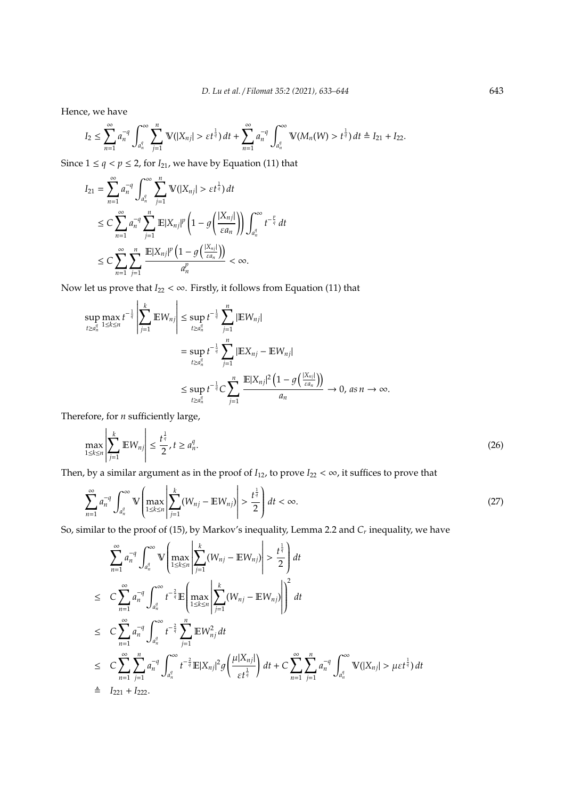Hence, we have

$$
I_2 \leq \sum_{n=1}^{\infty} a_n^{-q} \int_{a_n^q}^{\infty} \sum_{j=1}^n \mathbb{V}(|X_{nj}| > \varepsilon t^{\frac{1}{q}}) dt + \sum_{n=1}^{\infty} a_n^{-q} \int_{a_n^q}^{\infty} \mathbb{V}(M_n(W) > t^{\frac{1}{q}}) dt \triangleq I_{21} + I_{22}.
$$

Since  $1 \le q < p \le 2$ , for  $I_{21}$ , we have by Equation (11) that

$$
I_{21} = \sum_{n=1}^{\infty} a_n^{-q} \int_{a_n^q}^{\infty} \sum_{j=1}^n \mathbb{V}(|X_{nj}| > \varepsilon t^{\frac{1}{q}}) dt
$$
  
\n
$$
\leq C \sum_{n=1}^{\infty} a_n^{-q} \sum_{j=1}^n \mathbb{E}|X_{nj}|^p \left(1 - g\left(\frac{|X_{nj}|}{\varepsilon a_n}\right)\right) \int_{a_n^q}^{\infty} t^{-\frac{p}{q}} dt
$$
  
\n
$$
\leq C \sum_{n=1}^{\infty} \sum_{j=1}^n \frac{\mathbb{E}|X_{nj}|^p \left(1 - g\left(\frac{|X_{nj}|}{\varepsilon a_n}\right)\right)}{a_n^p} < \infty.
$$

 $\sim$ 

Now let us prove that  $I_{22} < \infty$ . Firstly, it follows from Equation (11) that

$$
\sup_{t \ge a_n^q} \max_{1 \le k \le n} t^{-\frac{1}{q}} \left| \sum_{j=1}^k \mathbb{E} W_{nj} \right| \le \sup_{t \ge a_n^q} t^{-\frac{1}{q}} \sum_{j=1}^n |\mathbb{E} W_{nj}|
$$
  

$$
= \sup_{t \ge a_n^q} t^{-\frac{1}{q}} \sum_{j=1}^n |\mathbb{E} X_{nj} - \mathbb{E} W_{nj}|
$$
  

$$
\le \sup_{t \ge a_n^q} t^{-\frac{1}{q}} C \sum_{j=1}^n \frac{\mathbb{E} |X_{nj}|^2 \left(1 - g\left(\frac{|X_{nj}|}{\varepsilon a_n}\right)\right)}{a_n} \to 0, \text{ as } n \to \infty.
$$

Therefore, for *n* sufficiently large,

 $\sim$ 

 $\sim$ 

$$
\max_{1 \le k \le n} \left| \sum_{j=1}^k \mathbb{E} W_{nj} \right| \le \frac{t^{\frac{1}{q}}}{2}, t \ge a_n^q. \tag{26}
$$

Then, by a similar argument as in the proof of  $I_{12}$ , to prove  $I_{22} < \infty$ , it suffices to prove that

$$
\sum_{n=1}^{\infty} a_n^{-q} \int_{a_n^q}^{\infty} \mathbb{V}\left(\max_{1 \le k \le n} \left| \sum_{j=1}^k (W_{nj} - \mathbb{E} W_{nj}) \right| > \frac{t^{\frac{1}{q}}}{2} \right) dt < \infty.
$$
\n(27)

So, similar to the proof of (15), by Markov's inequality, Lemma 2.2 and *C<sup>r</sup>* inequality, we have

$$
\sum_{n=1}^{\infty} a_n^{-q} \int_{a_n^q}^{\infty} \mathbb{V}\left(\max_{1 \le k \le n} \left| \sum_{j=1}^k (W_{nj} - \mathbb{E} W_{nj}) \right| > \frac{t^{\frac{1}{q}}}{2} \right) dt
$$
\n
$$
\le C \sum_{n=1}^{\infty} a_n^{-q} \int_{a_n^q}^{\infty} t^{-\frac{2}{q}} \mathbb{E}\left(\max_{1 \le k \le n} \left| \sum_{j=1}^k (W_{nj} - \mathbb{E} W_{nj}) \right| \right)^2 dt
$$
\n
$$
\le C \sum_{n=1}^{\infty} a_n^{-q} \int_{a_n^q}^{\infty} t^{-\frac{2}{q}} \sum_{j=1}^n \mathbb{E} W_{nj}^2 dt
$$
\n
$$
\le C \sum_{n=1}^{\infty} \sum_{j=1}^n a_n^{-q} \int_{a_n^q}^{\infty} t^{-\frac{2}{q}} \mathbb{E} |X_{nj}|^2 g\left(\frac{\mu |X_{nj}|}{\varepsilon t^{\frac{1}{q}}}\right) dt + C \sum_{n=1}^{\infty} \sum_{j=1}^n a_n^{-q} \int_{a_n^q}^{\infty} \mathbb{V}(|X_{nj}| > \mu \varepsilon t^{\frac{1}{q}}) dt
$$
\n
$$
\stackrel{\triangle}{=} I_{221} + I_{222}.
$$